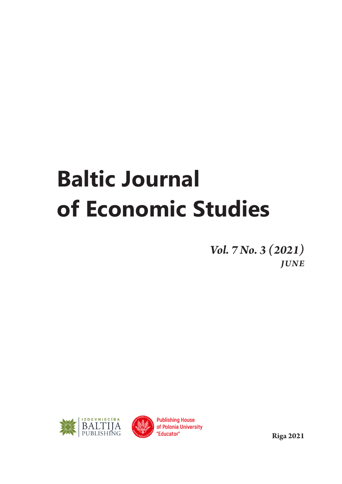## **Baltic Journal of Economic Studies**

*Vol. 7 No. 3 (2021) JUNE* 





**Riga 2021**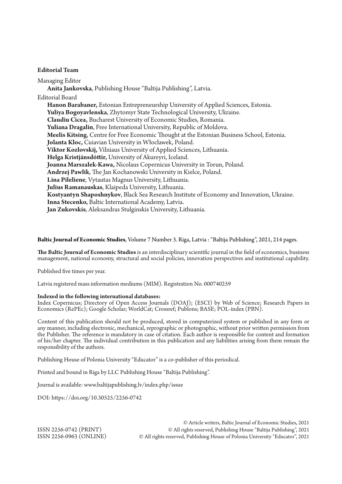## **Editorial Team**

Managing Editor **Anita Jankovska**, Publishing House "Baltija Publishing", Latvia. Editorial Board **Hanon Barabaner,** Estonian Entrepreneurship University of Applied Sciences, Estonia. **Yuliya Bogoyavlenska**, Zhytomyr State Technological University, Ukraine. **Claudiu Cicea,** Bucharest University of Economic Studies, Romania. **Yuliana Dragalin**, Free International University, Republic of Moldova. **Meelis Kitsing**, Centre for Free Economic Thought at the Estonian Business School, Estonia. **Jolanta Kloc,** Cuiavian University in Włocławek, Poland. **Viktor Kozlovskij,** Vilniaus University of Applied Sciences, Lithuania. **Helga Kristjánsdóttir,** University of Akureyri, Iceland. **Joanna Marszalek-Kawa,** Nicolaus Copernicus University in Torun, Poland. **Andrzej Pawlik**, The Jan Kochanowski University in Kielce, Poland. **Lina Pileliene**, Vytautas Magnus University, Lithuania. **Julius Ramanauskas**, Klaipeda University, Lithuania. **Kostyantyn Shaposhnykov**, Black Sea Research Institute of Economy and Innovation, Ukraine. **Inna Stecenko,** Baltic International Academy, Latvia. **Jan Zukovskis**, Aleksandras Stulginskis University, Lithuania.

## **Baltic Journal of Economic Studies**, Volume 7 Number 3. Riga, Latvia : "Baltija Publishing", 2021, 214 pages.

**The Baltic Journal of Economic Studies** is an interdisciplinary scientific journal in the field of economics, business management, national economy, structural and social policies, innovation perspectives and institutional capability.

Published five times per year.

Latvia registered mass information mediums (MIM). Registration No. 000740259

## **Indexed in the following international databases:**

Index Copernicus; Directory of Open Access Journals (DOAJ); (ESCI) by Web of Science; Research Papers in Economics (RePEc); Google Scholar; WorldCat; Crossref; Publons; BASE; POL-index (PBN).

Content of this publication should not be produced, stored in computerized system or published in any form or any manner, including electronic, mechanical, reprographic or photographic, without prior written permission from the Рublisher. The reference is mandatory in case of citation. Each author is responsible for content and formation of his/her chapter. The individual contribution in this publication and any liabilities arising from them remain the responsibility of the authors.

Publishing House of Polonia University "Educator" is a co-publisher of this periodical.

Printed and bound in Riga by LLC Publishing House "Baltija Publishing".

Journal is available: www.baltijapublishing.lv/index.php/issue

DOI: https://doi.org/10.30525/2256-0742

© Article writers, Baltic Journal of Economic Studies, 2021 ISSN 2256-0742 (PRINT) © All rights reserved, Publishing House "Baltija Publishing", 2021 © All rights reserved, Publishing House of Polonia University "Educator", 2021